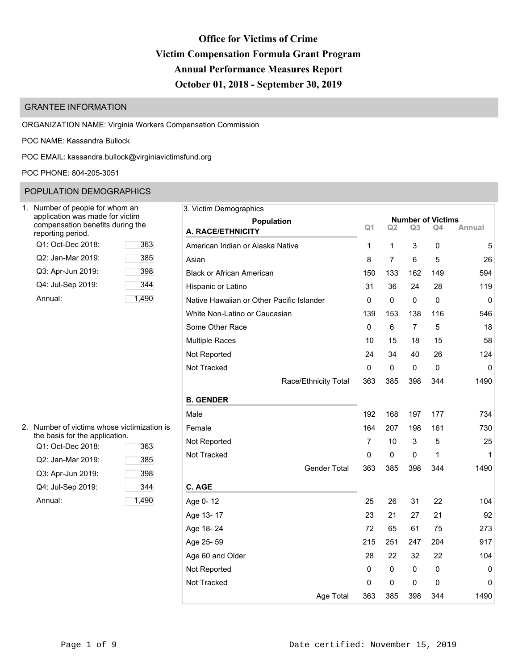# **Office for Victims of Crime Victim Compensation Formula Grant Program Annual Performance Measures Report October 01, 2018 - September 30, 2019**

# GRANTEE INFORMATION

ORGANIZATION NAME: Virginia Workers Compensation Commission

POC NAME: Kassandra Bullock

POC EMAIL: [kassandra.bullock@virginiavictimsfund.org](mailto:kassandra.bullock@virginiavictimsfund.org)

POC PHONE: 804-205-3051

# POPULATION DEMOGRAPHICS

| Number of people for whom an<br>application was made for victim<br>compensation benefits during the<br>reporting period. |      |
|--------------------------------------------------------------------------------------------------------------------------|------|
| Q1: Oct-Dec 2018:                                                                                                        | 363  |
| Q2: Jan-Mar 2019:                                                                                                        | 385  |
| Q3: Apr-Jun 2019:                                                                                                        | 398  |
| Q4: Jul-Sep 2019:                                                                                                        | 344  |
| Annual:                                                                                                                  | 1.49 |

| Jumber of people for whom an<br>application was made for victim | 3. Victim Demographics                    |                |                |                | <b>Number of Victims</b> |        |
|-----------------------------------------------------------------|-------------------------------------------|----------------|----------------|----------------|--------------------------|--------|
| compensation benefits during the<br>eporting period.            | <b>Population</b><br>A. RACE/ETHNICITY    | Q <sub>1</sub> | Q <sub>2</sub> | Q <sub>3</sub> | Q4                       | Annual |
| Q1: Oct-Dec 2018:<br>363                                        | American Indian or Alaska Native          | 1              | 1              | 3              | 0                        | 5      |
| 385<br>Q2: Jan-Mar 2019:                                        | Asian                                     | 8              | $\overline{7}$ | 6              | 5                        | 26     |
| Q3: Apr-Jun 2019:<br>398                                        | <b>Black or African American</b>          | 150            | 133            | 162            | 149                      | 594    |
| Q4: Jul-Sep 2019:<br>344                                        | Hispanic or Latino                        | 31             | 36             | 24             | 28                       | 119    |
| 1,490<br>Annual:                                                | Native Hawaiian or Other Pacific Islander | 0              | $\pmb{0}$      | $\pmb{0}$      | 0                        | 0      |
|                                                                 | White Non-Latino or Caucasian             | 139            | 153            | 138            | 116                      | 546    |
|                                                                 | Some Other Race                           | $\mathbf 0$    | 6              | $\overline{7}$ | 5                        | 18     |
|                                                                 | <b>Multiple Races</b>                     | 10             | 15             | 18             | 15                       | 58     |
|                                                                 | Not Reported                              | 24             | 34             | 40             | 26                       | 124    |
|                                                                 | Not Tracked                               | 0              | 0              | 0              | 0                        | 0      |
|                                                                 | Race/Ethnicity Total                      | 363            | 385            | 398            | 344                      | 1490   |
|                                                                 | <b>B. GENDER</b>                          |                |                |                |                          |        |
|                                                                 | Male                                      | 192            | 168            | 197            | 177                      | 734    |
| Number of victims whose victimization is                        | Female                                    | 164            | 207            | 198            | 161                      | 730    |
| he basis for the application.<br>Q1: Oct-Dec 2018:<br>363       | Not Reported                              | $\overline{7}$ | 10             | 3              | 5                        | 25     |
| Q2: Jan-Mar 2019:<br>385                                        | Not Tracked                               | $\mathbf 0$    | 0              | 0              | 1                        | 1      |
| Q3: Apr-Jun 2019:<br>398                                        | <b>Gender Total</b>                       | 363            | 385            | 398            | 344                      | 1490   |
| Q4: Jul-Sep 2019:<br>344                                        | C. AGE                                    |                |                |                |                          |        |
| 1,490<br>Annual:                                                | Age 0-12                                  | 25             | 26             | 31             | 22                       | 104    |
|                                                                 | Age 13-17                                 | 23             | 21             | 27             | 21                       | 92     |
|                                                                 | Age 18-24                                 | 72             | 65             | 61             | 75                       | 273    |
|                                                                 | Age 25-59                                 | 215            | 251            | 247            | 204                      | 917    |
|                                                                 | Age 60 and Older                          | 28             | 22             | 32             | 22                       | 104    |
|                                                                 | Not Reported                              | 0              | 0              | 0              | 0                        | 0      |
|                                                                 | Not Tracked                               | 0              | 0              | 0              | 0                        | 0      |
|                                                                 | Age Total                                 | 363            | 385            | 398            | 344                      | 1490   |

| 2. Number of victims whose victimization is |
|---------------------------------------------|
| the basis for the application.              |

| Q1: Oct-Dec 2018: | 363   | 1101110p |
|-------------------|-------|----------|
| Q2: Jan-Mar 2019: | 385   | Not Trac |
| Q3: Apr-Jun 2019: | 398   |          |
| Q4: Jul-Sep 2019: | 344   | C. AGE   |
| Annual:           | 1,490 | Age 0-1  |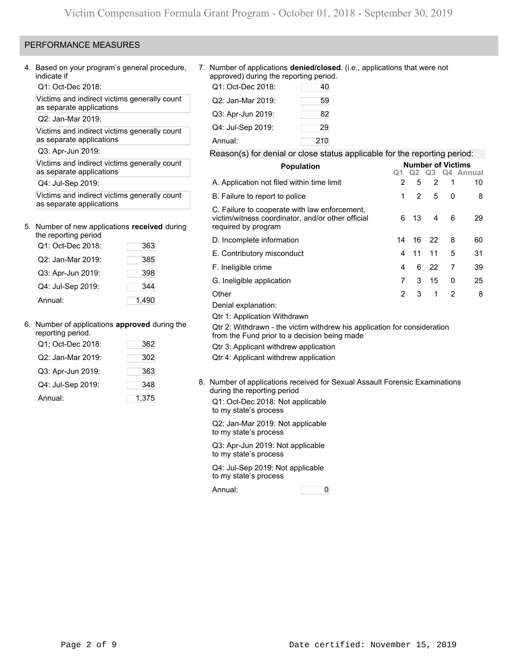# PERFORMANCE MEASURES

4. Based on your program's general procedure, indicate if

Q1: Oct-Dec 2018:

Victims and indirect victims generally count as separate applications

Q2: Jan-Mar 2019:

Victims and indirect victims generally count as separate applications

Q3: Apr-Jun 2019:

Victims and indirect victims generally count as separate applications

Q4: Jul-Sep 2019:

Victims and indirect victims generally count as separate applications

# 5. Number of new applications **received** during

| the reporting period |       |
|----------------------|-------|
| Q1: Oct-Dec 2018:    | 363   |
| Q2: Jan-Mar 2019:    | 385   |
| Q3: Apr-Jun 2019:    | 398   |
| Q4: Jul-Sep 2019:    | 344   |
| Annual:              | 1.490 |

# 6. Number of applications **approved** during the

| reporting period. |       |
|-------------------|-------|
| Q1: Oct-Dec 2018: | 362   |
| Q2: Jan-Mar 2019: | 302   |
| Q3: Apr-Jun 2019: | 363   |
| Q4: Jul-Sep 2019: | 348   |
| Annual:           | 1,375 |

7. Number of applications **denied/closed**. (i.e., applications that were not approved) during the reporting period.

| Q1: Oct-Dec 2018: | 40  |
|-------------------|-----|
| Q2: Jan-Mar 2019: | 59  |
| Q3: Apr-Jun 2019: | 82  |
| Q4: Jul-Sep 2019: | 29  |
| Annual:           | 210 |

## Reason(s) for denial or close status applicable for the reporting period:

| <b>Population</b>                                                                                                         |                |                | <b>Number of Victims</b> |                |              |
|---------------------------------------------------------------------------------------------------------------------------|----------------|----------------|--------------------------|----------------|--------------|
|                                                                                                                           |                | Q2             |                          |                | Q3 Q4 Annual |
| A. Application not filed within time limit                                                                                | $\overline{2}$ | 5              | $\overline{2}$           | 1              | 10           |
| B. Failure to report to police                                                                                            | 1              | $\overline{2}$ | 5                        | 0              | 8            |
| C. Failure to cooperate with law enforcement,<br>victim/witness coordinator, and/or other official<br>required by program | 6              | 13             | 4                        | 6              | 29           |
| D. Incomplete information                                                                                                 | 14             | 16             | 22                       | 8              | 60           |
| E. Contributory misconduct                                                                                                | 4              | 11             | 11                       | 5              | 31           |
| F. Ineligible crime                                                                                                       | 4              | 6              | 22                       | 7              | 39           |
| G. Ineligible application                                                                                                 | 7              | 3              | 15                       | 0              | 25           |
| Other                                                                                                                     | 2              | 3              | 1                        | $\overline{2}$ | 8            |
| Denial explanation:                                                                                                       |                |                |                          |                |              |
| Qtr 1: Application Withdrawn                                                                                              |                |                |                          |                |              |
| Qtr 2: Withdrawn - the victim withdrew his application for consideration<br>from the Fund prior to a decision being made  |                |                |                          |                |              |
| Qtr 3: Applicant withdrew application                                                                                     |                |                |                          |                |              |
| Qtr 4: Applicant withdrew application                                                                                     |                |                |                          |                |              |

8. Number of applications received for Sexual Assault Forensic Examinations during the reporting period

Q1: Oct-Dec 2018: Not applicable to my state's process

Q2: Jan-Mar 2019: Not applicable to my state's process

Q3: Apr-Jun 2019: Not applicable to my state's process

Q4: Jul-Sep 2019: Not applicable to my state's process

Annual: 0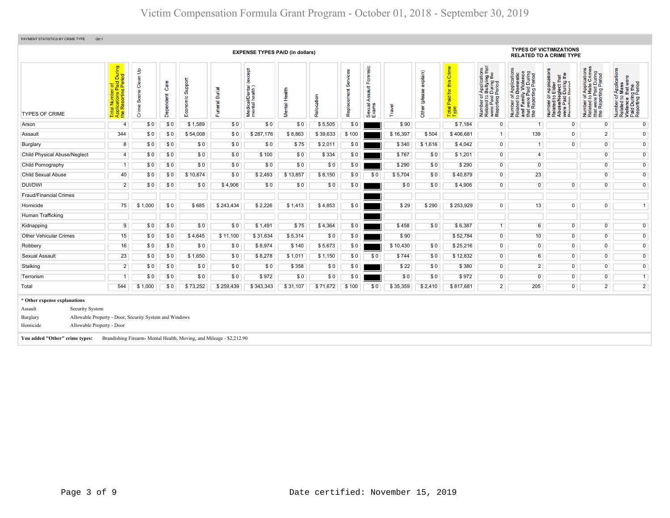|                                                                                                                                                                                                             |                                                                               |                            |                   |                     |                                                                      | <b>EXPENSE TYPES PAID (in dollars)</b>       |               |            |                         |                                                      |          |                              |                                                                   |                                                                                                                            | <b>RELATED TO A CRIME TYPE</b>                                                                                                                              | <b>TYPES OF VICTIMIZATIONS</b>                                                                                                                                |                                                                                                                                      |                                                                                                                                  |
|-------------------------------------------------------------------------------------------------------------------------------------------------------------------------------------------------------------|-------------------------------------------------------------------------------|----------------------------|-------------------|---------------------|----------------------------------------------------------------------|----------------------------------------------|---------------|------------|-------------------------|------------------------------------------------------|----------|------------------------------|-------------------------------------------------------------------|----------------------------------------------------------------------------------------------------------------------------|-------------------------------------------------------------------------------------------------------------------------------------------------------------|---------------------------------------------------------------------------------------------------------------------------------------------------------------|--------------------------------------------------------------------------------------------------------------------------------------|----------------------------------------------------------------------------------------------------------------------------------|
| <b>TYPES OF CRIME</b>                                                                                                                                                                                       | During<br>iod<br>Total Number of<br>Applications Paid I<br>the Reporting Peri | Clean Up<br>Scene<br>Crime | Care<br>Dependent | Support<br>Economic | Burial<br>Funeral                                                    | except<br>Medical/Dental (<br>mental health) | Mental Health | Relocation | Services<br>Replacement | Forensic<br>$\frac{4}{100}$<br>∢<br>Sexual.<br>Exams | Travel   | explain)<br>9<br>Other (plea | Crime<br>this<br>$\overline{\mathbf{r}}$<br>Paid<br>Total<br>Type | of Applications<br>b Bullying that<br>I Period<br>I Period<br>5 유 호<br>Number of<br>Related to<br>were Paid<br>Reporting I | During<br>Period<br>ਠ<br>Application<br>Domestic<br>y Violenc<br>ting P<br>Paid<br>Number of Ar<br>Related to Do<br>and Family<br>50<br>were<br>Repor<br>Ē£ | reation<br>£<br>that<br>glect th<br>During<br>Period<br><b>Appli</b><br>Elder<br>Number of<br>Related to I<br>Abuse/Neg<br>were Paid I<br>Renorting Renorting | Applications<br>Hate Crimes<br>d During<br>Period<br>ting<br>59<br>t were<br>Number<br>Related t<br>$\frac{\text{that}}{\text{the}}$ | FApplications<br>Mass<br>were<br>Number of Applica<br>Related to Mass<br>Violence that we<br>Paid During the<br>Reporting Period |
| Arson                                                                                                                                                                                                       | $\overline{4}$                                                                | \$0                        | \$0               | \$1,589             | \$0                                                                  | \$0                                          | \$0           | \$5,505    | \$0                     |                                                      | \$90     |                              | \$7,184                                                           | $\overline{0}$                                                                                                             |                                                                                                                                                             | $\overline{0}$                                                                                                                                                | $\overline{0}$                                                                                                                       | $\overline{0}$                                                                                                                   |
| Assault                                                                                                                                                                                                     | 344                                                                           | \$0                        | \$0               | \$54,008            | \$0                                                                  | \$287,176                                    | \$8,863       | \$39,633   | \$100                   |                                                      | \$16,397 | \$504                        | \$406,681                                                         | 1                                                                                                                          | 139                                                                                                                                                         | $\overline{0}$                                                                                                                                                | $\overline{2}$                                                                                                                       | $\overline{0}$                                                                                                                   |
| Burglary                                                                                                                                                                                                    | 8                                                                             | \$0                        | \$0               | \$0                 | \$0                                                                  | \$0                                          | \$75          | \$2,011    | \$0                     |                                                      | \$340    | \$1,616                      | \$4,042                                                           | $\overline{0}$                                                                                                             | $\overline{1}$                                                                                                                                              | $\Omega$                                                                                                                                                      | $\overline{0}$                                                                                                                       | $\overline{0}$                                                                                                                   |
| Child Physical Abuse/Neglect                                                                                                                                                                                | $\overline{4}$                                                                | \$0                        | \$0               | \$0                 | \$0                                                                  | \$100                                        | \$0           | \$334      | \$0                     |                                                      | \$767    | \$0                          | \$1,201                                                           | $\overline{0}$                                                                                                             | $\overline{4}$                                                                                                                                              |                                                                                                                                                               | $\overline{0}$                                                                                                                       | $\overline{0}$                                                                                                                   |
| Child Pornography                                                                                                                                                                                           | $\overline{1}$                                                                | \$0                        | \$0               | \$0                 | \$0                                                                  | \$0                                          | \$0           | \$0        | \$0                     |                                                      | \$290    | \$0                          | \$290                                                             | $\overline{0}$                                                                                                             | $\overline{0}$                                                                                                                                              |                                                                                                                                                               | $\overline{0}$                                                                                                                       | $\overline{0}$                                                                                                                   |
| <b>Child Sexual Abuse</b>                                                                                                                                                                                   | 40                                                                            | \$0                        | \$0               | \$10,674            | \$0                                                                  | \$2,493                                      | \$13,857      | \$8,150    | \$0                     | \$0                                                  | \$5,704  | \$0                          | \$40,879                                                          | $\overline{0}$                                                                                                             | 23                                                                                                                                                          |                                                                                                                                                               | $\mathbf 0$                                                                                                                          | $\overline{0}$                                                                                                                   |
| DUI/DWI                                                                                                                                                                                                     | $\overline{2}$                                                                | \$0                        | \$0               | \$0                 | \$4,906                                                              | \$0                                          | \$0           | \$0        | \$0                     |                                                      | \$0      | \$0                          | \$4,906                                                           | $\overline{0}$                                                                                                             | $\overline{0}$                                                                                                                                              | $\overline{0}$                                                                                                                                                | $\overline{0}$                                                                                                                       | $\overline{0}$                                                                                                                   |
| <b>Fraud/Financial Crimes</b>                                                                                                                                                                               |                                                                               |                            |                   |                     |                                                                      |                                              |               |            |                         |                                                      |          |                              |                                                                   |                                                                                                                            |                                                                                                                                                             |                                                                                                                                                               |                                                                                                                                      |                                                                                                                                  |
| Homicide                                                                                                                                                                                                    | 75                                                                            | \$1,000                    | \$0               | \$685               | \$243,434                                                            | \$2,226                                      | \$1,413       | \$4,853    | \$0                     |                                                      | \$29     | \$290                        | \$253,929                                                         | $\overline{0}$                                                                                                             | 13                                                                                                                                                          | $\overline{0}$                                                                                                                                                | $\overline{0}$                                                                                                                       | $\overline{1}$                                                                                                                   |
| Human Trafficking                                                                                                                                                                                           |                                                                               |                            |                   |                     |                                                                      |                                              |               |            |                         |                                                      |          |                              |                                                                   |                                                                                                                            |                                                                                                                                                             |                                                                                                                                                               |                                                                                                                                      |                                                                                                                                  |
| Kidnapping                                                                                                                                                                                                  | 9                                                                             | \$0                        | \$0               | \$0                 | \$0                                                                  | \$1,491                                      | \$75          | \$4,364    | \$0                     |                                                      | \$458    | \$0                          | \$6,387                                                           | $\overline{1}$                                                                                                             | $6\overline{6}$                                                                                                                                             | $\overline{0}$                                                                                                                                                | $\overline{0}$                                                                                                                       | $\overline{0}$                                                                                                                   |
| <b>Other Vehicular Crimes</b>                                                                                                                                                                               | 15                                                                            | \$0                        | \$0               | \$4,645             | \$11,100                                                             | \$31,634                                     | \$5,314       | \$0        | \$0                     |                                                      | \$90     |                              | \$52,784                                                          | $\overline{0}$                                                                                                             | 10                                                                                                                                                          | $\overline{0}$                                                                                                                                                | $\overline{0}$                                                                                                                       | $\overline{0}$                                                                                                                   |
| Robbery                                                                                                                                                                                                     | 16                                                                            | \$0                        | \$0               | \$0                 | \$0                                                                  | \$8,974                                      | \$140         | \$5,673    | \$0                     |                                                      | \$10,430 | \$0                          | \$25,216                                                          | $\overline{0}$                                                                                                             | $\overline{0}$                                                                                                                                              | $\overline{0}$                                                                                                                                                | $\overline{0}$                                                                                                                       | $\overline{0}$                                                                                                                   |
| <b>Sexual Assault</b>                                                                                                                                                                                       | 23                                                                            | \$0                        | \$0               | \$1,650             | \$0                                                                  | \$8,278                                      | \$1,011       | \$1,150    | \$0                     | \$0                                                  | \$744    | \$0                          | \$12,832                                                          | $\overline{0}$                                                                                                             | 6                                                                                                                                                           | $\overline{0}$                                                                                                                                                | $\overline{0}$                                                                                                                       | $\overline{0}$                                                                                                                   |
| Stalking                                                                                                                                                                                                    | $\overline{2}$                                                                | \$0                        | \$0               | \$0                 | \$0                                                                  | \$0                                          | \$358         | \$0        | \$0                     |                                                      | \$22     | \$0                          | \$380                                                             | $\overline{0}$                                                                                                             | $\overline{2}$                                                                                                                                              | $\overline{0}$                                                                                                                                                | $\overline{0}$                                                                                                                       | $\overline{0}$                                                                                                                   |
| Terrorism                                                                                                                                                                                                   | -1                                                                            | \$0                        | \$0               | \$0                 | \$0                                                                  | \$972                                        | \$0           | \$0        | \$0                     |                                                      | \$0      | \$0                          | \$972                                                             | $\overline{0}$                                                                                                             | $\overline{0}$                                                                                                                                              | $\overline{0}$                                                                                                                                                | $\overline{0}$                                                                                                                       | $\overline{1}$                                                                                                                   |
| Total                                                                                                                                                                                                       | 544                                                                           | \$1,000                    | \$0               | \$73,252            | \$259,439                                                            | \$343,343                                    | \$31,107      | \$71,672   | \$100                   | \$0                                                  | \$35,359 | \$2,410                      | \$817,681                                                         | $\overline{2}$                                                                                                             | 205                                                                                                                                                         | $\overline{0}$                                                                                                                                                | $\overline{2}$                                                                                                                       | $\overline{2}$                                                                                                                   |
| * Other expense explanations<br>Assault<br>Security System<br>Allowable Property - Door, Security System and Windows<br>Burglary<br>Allowable Property - Door<br>Homicide<br>You added "Other" crime types: |                                                                               |                            |                   |                     | Brandishing Firearm- Mental Health, Moving, and Mileage - \$2,212.90 |                                              |               |            |                         |                                                      |          |                              |                                                                   |                                                                                                                            |                                                                                                                                                             |                                                                                                                                                               |                                                                                                                                      |                                                                                                                                  |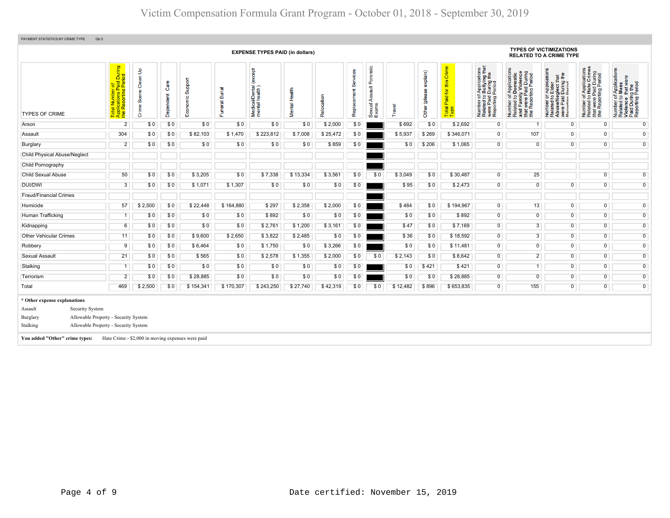| PAYMENT STATISTICS BY CRIME TYPE<br>Qtr:2<br><b>TYPES OF VICTIMIZATIONS</b>                                                                                                                          |                                                                                                                   |                            |                   |                                                   |                          |                                               |               |            |                         |                                                    |          |                           |                                                    |                                                                                                                                                    |                                                                                                                                                     |                                                                                                                                                       |                                                                                                   |                                                                                                                              |
|------------------------------------------------------------------------------------------------------------------------------------------------------------------------------------------------------|-------------------------------------------------------------------------------------------------------------------|----------------------------|-------------------|---------------------------------------------------|--------------------------|-----------------------------------------------|---------------|------------|-------------------------|----------------------------------------------------|----------|---------------------------|----------------------------------------------------|----------------------------------------------------------------------------------------------------------------------------------------------------|-----------------------------------------------------------------------------------------------------------------------------------------------------|-------------------------------------------------------------------------------------------------------------------------------------------------------|---------------------------------------------------------------------------------------------------|------------------------------------------------------------------------------------------------------------------------------|
|                                                                                                                                                                                                      | <b>EXPENSE TYPES PAID (in dollars)</b><br><b>RELATED TO A CRIME TYPE</b>                                          |                            |                   |                                                   |                          |                                               |               |            |                         |                                                    |          |                           |                                                    |                                                                                                                                                    |                                                                                                                                                     |                                                                                                                                                       |                                                                                                   |                                                                                                                              |
| <b>TYPES OF CRIME</b>                                                                                                                                                                                | id During<br>Ieriod<br><u>이 등을</u><br>al Number<br>plications Pa<br>Reporting I<br>z.<br>Total<br>Applic<br>the R | Clean Up<br>Scene<br>Crime | Care<br>Dependent | ppp<br>ശ<br>8<br>ш                                | <b>Burial</b><br>Funeral | (except<br>Medical/Dental (<br>mental health) | Mental Health | Relocation | Services<br>Replacement | Forensic<br>$\frac{4}{3}$<br>⋖<br>Sexual.<br>Exams | ravel    | explain)<br>Other (please | Crime<br>this<br><b>b</b><br>Paid<br>Total<br>Type | of Applications<br>b Bullying that<br>I During the<br>Period<br>$\overline{5}$ $\overline{9}$<br>Number of<br>Related to<br>were Paid<br>Reporting | Number of Applications<br>Related to Domestic<br>and Family Violence<br>that were Paid During<br>Paid During<br>rting Period<br>were<br>Repor<br>eq | lication<br>that<br>g the<br>Paplica<br>Elder<br>glect th<br>During I<br>Period<br>50<br>e/Ne<br>Number<br>Related<br>Abuse/N<br>were Pai<br>Reportin | Number of Applications<br>Related to Hate Crimes<br>that were Paid During<br>the Reporting Period | f Applications<br>Mass<br>Number of Appli<br>Related to Mass<br>Violence that w<br>Paid During the<br>Reporting Perioc<br>59 |
| Arson                                                                                                                                                                                                | $\overline{2}$                                                                                                    | \$0                        | \$0               | \$0                                               | \$0                      | \$0                                           | \$0           | \$2,000    | \$0                     |                                                    | \$692    | \$0                       | \$2,692                                            | $\overline{0}$                                                                                                                                     |                                                                                                                                                     | $\overline{0}$                                                                                                                                        | $\overline{0}$                                                                                    | $\overline{0}$                                                                                                               |
| Assault                                                                                                                                                                                              | 304                                                                                                               | \$0                        | \$0               | \$82,103                                          | \$1,470                  | \$223,812                                     | \$7,008       | \$25,472   | \$0                     |                                                    | \$5,937  | \$269                     | \$346,071                                          | $\overline{0}$                                                                                                                                     | 107                                                                                                                                                 | $\Omega$                                                                                                                                              | $\overline{0}$                                                                                    | $\overline{0}$                                                                                                               |
| Burglary                                                                                                                                                                                             | $\overline{2}$                                                                                                    | \$0                        | \$0               | \$0                                               | \$0                      | \$0                                           | \$0           | \$859      | \$0                     |                                                    | \$0      | \$206                     | \$1,065                                            | $\overline{0}$                                                                                                                                     | $\overline{0}$                                                                                                                                      | $\overline{0}$                                                                                                                                        | $\overline{0}$                                                                                    | $\overline{0}$                                                                                                               |
| <b>Child Physical Abuse/Neglect</b>                                                                                                                                                                  |                                                                                                                   |                            |                   |                                                   |                          |                                               |               |            |                         |                                                    |          |                           |                                                    |                                                                                                                                                    |                                                                                                                                                     |                                                                                                                                                       |                                                                                                   |                                                                                                                              |
| Child Pornography                                                                                                                                                                                    |                                                                                                                   |                            |                   |                                                   |                          |                                               |               |            |                         |                                                    |          |                           |                                                    |                                                                                                                                                    |                                                                                                                                                     |                                                                                                                                                       |                                                                                                   |                                                                                                                              |
| <b>Child Sexual Abuse</b>                                                                                                                                                                            | 50                                                                                                                | \$0                        | \$0               | \$3,205                                           | \$0                      | \$7,338                                       | \$13,334      | \$3,561    | \$0                     | \$0                                                | \$3,049  | \$0                       | \$30,487                                           | $\overline{0}$                                                                                                                                     | 25                                                                                                                                                  |                                                                                                                                                       | $\overline{0}$                                                                                    | $\overline{0}$                                                                                                               |
| DUI/DWI                                                                                                                                                                                              | 3                                                                                                                 | \$0                        | \$0               | \$1,071                                           | \$1,307                  | \$0                                           | \$0           | \$0        | \$0                     |                                                    | \$95     | \$0                       | \$2,473                                            | $\overline{0}$                                                                                                                                     | $\overline{0}$                                                                                                                                      | $\overline{0}$                                                                                                                                        | $\overline{0}$                                                                                    | $\overline{0}$                                                                                                               |
| <b>Fraud/Financial Crimes</b>                                                                                                                                                                        |                                                                                                                   |                            |                   |                                                   |                          |                                               |               |            |                         |                                                    |          |                           |                                                    |                                                                                                                                                    |                                                                                                                                                     |                                                                                                                                                       |                                                                                                   |                                                                                                                              |
| Homicide                                                                                                                                                                                             | 57                                                                                                                | \$2,500                    | \$0               | \$22,448                                          | \$164,880                | \$297                                         | \$2,358       | \$2,000    | \$0                     |                                                    | \$484    | \$0                       | \$194,967                                          | $\overline{0}$                                                                                                                                     | 13                                                                                                                                                  | $\overline{0}$                                                                                                                                        | $\overline{0}$                                                                                    | $\overline{0}$                                                                                                               |
| Human Trafficking                                                                                                                                                                                    | -1                                                                                                                | \$0                        | \$0               | \$0                                               | \$0                      | \$892                                         | \$0           | \$0        | \$0                     |                                                    | \$0      | \$0                       | \$892                                              | $\overline{0}$                                                                                                                                     | $\overline{0}$                                                                                                                                      | $\overline{0}$                                                                                                                                        | $\overline{0}$                                                                                    | $\overline{0}$                                                                                                               |
| Kidnapping                                                                                                                                                                                           | 6                                                                                                                 | \$0                        | \$0               | \$0                                               | \$0                      | \$2,761                                       | \$1,200       | \$3,161    | \$0                     |                                                    | \$47     | \$0                       | \$7,169                                            | $\overline{0}$                                                                                                                                     | $\overline{3}$                                                                                                                                      | $\overline{0}$                                                                                                                                        | $\overline{0}$                                                                                    | $\overline{0}$                                                                                                               |
| <b>Other Vehicular Crimes</b>                                                                                                                                                                        | 11                                                                                                                | \$0                        | \$0               | \$9,600                                           | \$2,650                  | \$3,822                                       | \$2,485       | \$0        | \$0                     |                                                    | \$36     | \$0                       | \$18,592                                           | $\overline{0}$                                                                                                                                     | $\overline{3}$                                                                                                                                      | $\overline{0}$                                                                                                                                        | $\overline{0}$                                                                                    | $\mathbf 0$                                                                                                                  |
| Robbery                                                                                                                                                                                              | 9                                                                                                                 | \$0                        | \$0               | \$6,464                                           | \$0                      | \$1,750                                       | \$0           | \$3,266    | \$0                     |                                                    | \$0      | \$0                       | \$11,481                                           | $\overline{0}$                                                                                                                                     | $\overline{0}$                                                                                                                                      | $\overline{0}$                                                                                                                                        | $\overline{0}$                                                                                    | $\overline{0}$                                                                                                               |
| Sexual Assault                                                                                                                                                                                       | 21                                                                                                                | \$0                        | \$0               | \$565                                             | \$0                      | \$2,578                                       | \$1,355       | \$2,000    | \$0                     | \$0                                                | \$2,143  | \$0                       | \$8,642                                            | $\overline{0}$                                                                                                                                     | $\overline{2}$                                                                                                                                      | $\Omega$                                                                                                                                              | $\overline{0}$                                                                                    | $\overline{0}$                                                                                                               |
| Stalking                                                                                                                                                                                             |                                                                                                                   | \$0                        | \$0               | \$0                                               | \$0                      | \$0                                           | \$0           | \$0        | \$0                     |                                                    | \$0      | \$421                     | \$421                                              | $\overline{0}$                                                                                                                                     | $\overline{1}$                                                                                                                                      | $\overline{0}$                                                                                                                                        | $\overline{0}$                                                                                    | $\overline{0}$                                                                                                               |
| Terrorism                                                                                                                                                                                            | $\overline{2}$                                                                                                    | \$0                        | \$0               | \$28,885                                          | \$0                      | \$0                                           | \$0           | \$0        | \$0                     |                                                    | \$0      | \$0                       | \$28,885                                           | $\overline{0}$                                                                                                                                     | $\overline{0}$                                                                                                                                      | $\overline{0}$                                                                                                                                        | $\overline{0}$                                                                                    | $\overline{0}$                                                                                                               |
| Total                                                                                                                                                                                                | 469                                                                                                               | \$2,500                    | \$0               | \$154,341                                         | \$170,307                | \$243,250                                     | \$27,740      | \$42,319   | \$0                     | \$0                                                | \$12,482 | \$896                     | \$653,835                                          | $\overline{0}$                                                                                                                                     | 155                                                                                                                                                 | $\overline{0}$                                                                                                                                        | $\overline{0}$                                                                                    | $\overline{0}$                                                                                                               |
| * Other expense explanations<br>Security System<br>Assault<br>Allowable Property - Security System<br>Burglary<br>Allowable Property - Security System<br>Stalking<br>You added "Other" crime types: |                                                                                                                   |                            |                   | Hate Crime - \$2,000 in moving expenses were paid |                          |                                               |               |            |                         |                                                    |          |                           |                                                    |                                                                                                                                                    |                                                                                                                                                     |                                                                                                                                                       |                                                                                                   |                                                                                                                              |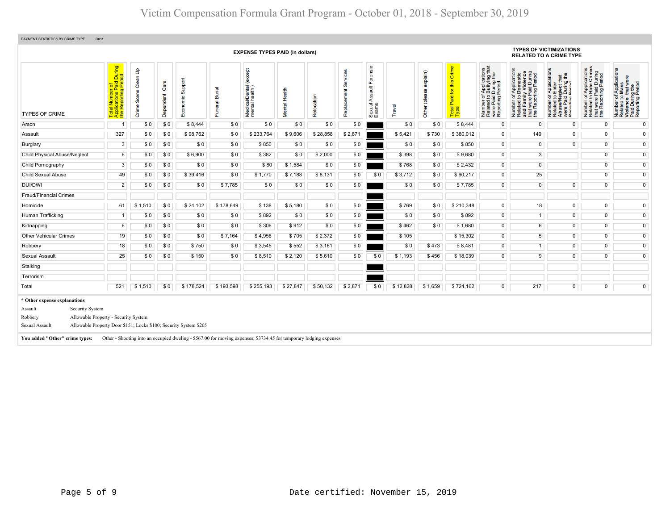| PAYMENT STATISTICS BY CRIME TYPE<br>Qtr:3<br><b>TYPES OF VICTIMIZATIONS</b>                                                                                                                                                                                                                                                                                  |                                                                                                             |                                         |                   |                                     |                                           |                                              |               |            |                         |                                            |          |                           |                                |                                                                                                                                        |                                                                                                                                                                        |                                                                                                                                                                    |                                                                                                                                 |                                                                                                                                      |
|--------------------------------------------------------------------------------------------------------------------------------------------------------------------------------------------------------------------------------------------------------------------------------------------------------------------------------------------------------------|-------------------------------------------------------------------------------------------------------------|-----------------------------------------|-------------------|-------------------------------------|-------------------------------------------|----------------------------------------------|---------------|------------|-------------------------|--------------------------------------------|----------|---------------------------|--------------------------------|----------------------------------------------------------------------------------------------------------------------------------------|------------------------------------------------------------------------------------------------------------------------------------------------------------------------|--------------------------------------------------------------------------------------------------------------------------------------------------------------------|---------------------------------------------------------------------------------------------------------------------------------|--------------------------------------------------------------------------------------------------------------------------------------|
|                                                                                                                                                                                                                                                                                                                                                              |                                                                                                             |                                         |                   |                                     |                                           | <b>EXPENSE TYPES PAID (in dollars)</b>       |               |            |                         |                                            |          |                           |                                |                                                                                                                                        |                                                                                                                                                                        | <b>RELATED TO A CRIME TYPE</b>                                                                                                                                     |                                                                                                                                 |                                                                                                                                      |
| <b>TYPES OF CRIME</b>                                                                                                                                                                                                                                                                                                                                        | During<br>iod<br>ಕ<br>$\mathbf{a}$<br><b>plications</b> Pa<br>Reporting F<br>ž.<br>Total<br>Applic<br>the R | Clean Up<br>Scene <sup>(</sup><br>Crime | Care<br>Dependent | suppor<br>$\frac{10}{10}$<br>8<br>ш | ᠊ᢛ<br>ã<br>$\overline{\mathfrak{a}}$<br>Ě | except<br>Medical/Dental (<br>mental health) | Mental Health | Relocation | Services<br>Replacement | Forensic<br>ssault<br>₹<br>Sexual<br>Exams | Travel   | explain)<br>Other (please | Paid for this Crime<br>Total I | f Applications<br>b Bullying that<br>I During the<br>Period<br>Number of <i>I</i><br>Related to <b>E</b><br>were Paid I<br>Reporting F | Application:<br>Domestic<br>urat were Paid During<br>the Reporting Period<br>Number or<br>Related to Dome.<br>and Family Violen<br>- were Paid Dur<br>- were Paid Peri | Application<br>Elder<br>$\frac{t}{9}$ the<br>glect the<br>During t<br>Period<br>5.9<br>e/Ner<br>Paid<br>#im<br>Number<br>Related<br>Abuse/N<br>were Pa<br>Reportin | mber of Applications<br>lated to Hate Crimes<br>at were Paid During<br>∍ Reporting Period<br>Number<br>Related<br>that<br>the F | Applications<br>Mass<br>that were<br>Number of Applica<br>Related to Mass<br>Violence that we<br>Paid During the<br>Reporting Period |
| Arson                                                                                                                                                                                                                                                                                                                                                        | 1                                                                                                           | \$0                                     | \$0               | \$8,444                             | \$0                                       | \$0                                          | \$0           | \$0        | \$0                     |                                            | \$0      | \$0                       | \$8,444                        | 0                                                                                                                                      | $\mathbf 0$                                                                                                                                                            | $\overline{0}$                                                                                                                                                     | $\mathbf 0$                                                                                                                     | $\overline{0}$                                                                                                                       |
| Assault                                                                                                                                                                                                                                                                                                                                                      | 327                                                                                                         | \$0                                     | \$0               | \$98,762                            | \$0                                       | \$233,764                                    | \$9,606       | \$28,858   | \$2,871                 |                                            | \$5,421  | \$730                     | \$380,012                      | $\overline{0}$                                                                                                                         | 149                                                                                                                                                                    | $\overline{0}$                                                                                                                                                     | $\overline{0}$                                                                                                                  | $\overline{0}$                                                                                                                       |
| Burglary                                                                                                                                                                                                                                                                                                                                                     | $\overline{3}$                                                                                              | \$0                                     | \$0               | \$0                                 | \$0                                       | \$850                                        | \$0           | \$0        | \$0                     |                                            | \$0      | \$0                       | \$850                          | $\overline{0}$                                                                                                                         | $\overline{0}$                                                                                                                                                         | $\Omega$                                                                                                                                                           | $\overline{0}$                                                                                                                  | $\overline{0}$                                                                                                                       |
| <b>Child Physical Abuse/Neglect</b>                                                                                                                                                                                                                                                                                                                          | $6\overline{6}$                                                                                             | \$0                                     | \$0               | \$6,900                             | \$0                                       | \$382                                        | \$0           | \$2,000    | \$0                     |                                            | \$398    | \$0                       | \$9,680                        | $\overline{0}$                                                                                                                         | $\overline{3}$                                                                                                                                                         |                                                                                                                                                                    | $\overline{0}$                                                                                                                  | $\overline{0}$                                                                                                                       |
| Child Pornography                                                                                                                                                                                                                                                                                                                                            | $\overline{3}$                                                                                              | \$0                                     | \$0               | \$0                                 | \$0                                       | \$80                                         | \$1,584       | \$0        | \$0                     |                                            | \$768    | \$0                       | \$2,432                        | $\overline{0}$                                                                                                                         | $\overline{0}$                                                                                                                                                         |                                                                                                                                                                    | $\overline{0}$                                                                                                                  | $\overline{0}$                                                                                                                       |
| <b>Child Sexual Abuse</b>                                                                                                                                                                                                                                                                                                                                    | 49                                                                                                          | \$0                                     | \$0               | \$39,416                            | \$0                                       | \$1,770                                      | \$7,188       | \$8,131    | \$0                     | \$0                                        | \$3,712  | \$0                       | \$60,217                       | $\overline{0}$                                                                                                                         | 25                                                                                                                                                                     |                                                                                                                                                                    | $\overline{0}$                                                                                                                  | $\overline{0}$                                                                                                                       |
| <b>DUI/DWI</b>                                                                                                                                                                                                                                                                                                                                               | $\overline{2}$                                                                                              | \$0                                     | \$0               | \$0                                 | \$7,785                                   | \$0                                          | \$0           | \$0        | \$0                     |                                            | \$0      | \$0                       | \$7,785                        | $\overline{0}$                                                                                                                         | $\overline{0}$                                                                                                                                                         | $\overline{0}$                                                                                                                                                     | $\overline{0}$                                                                                                                  | $\overline{0}$                                                                                                                       |
| <b>Fraud/Financial Crimes</b>                                                                                                                                                                                                                                                                                                                                |                                                                                                             |                                         |                   |                                     |                                           |                                              |               |            |                         |                                            |          |                           |                                |                                                                                                                                        |                                                                                                                                                                        |                                                                                                                                                                    |                                                                                                                                 |                                                                                                                                      |
| Homicide                                                                                                                                                                                                                                                                                                                                                     | 61                                                                                                          | \$1,510                                 | \$0               | \$24,102                            | \$178,649                                 | \$138                                        | \$5,180       | \$0        | \$0                     |                                            | \$769    | \$0                       | \$210,348                      | $\overline{0}$                                                                                                                         | 18                                                                                                                                                                     | $\overline{0}$                                                                                                                                                     | $\overline{0}$                                                                                                                  | $\overline{0}$                                                                                                                       |
| Human Trafficking                                                                                                                                                                                                                                                                                                                                            | $\overline{1}$                                                                                              | \$0                                     | \$0               | \$0                                 | \$0                                       | \$892                                        | \$0           | \$0        | \$0                     |                                            | \$0      | \$0                       | \$892                          | $\overline{0}$                                                                                                                         | $\overline{1}$                                                                                                                                                         | $\overline{0}$                                                                                                                                                     | $\overline{0}$                                                                                                                  | $\overline{0}$                                                                                                                       |
| Kidnapping                                                                                                                                                                                                                                                                                                                                                   | 6                                                                                                           | \$0                                     | \$0               | \$0                                 | \$0                                       | \$306                                        | \$912         | \$0        | \$0                     |                                            | \$462    | \$0                       | \$1,680                        | $\overline{0}$                                                                                                                         | 6                                                                                                                                                                      | $\overline{0}$                                                                                                                                                     | $\overline{0}$                                                                                                                  | $\overline{0}$                                                                                                                       |
| <b>Other Vehicular Crimes</b>                                                                                                                                                                                                                                                                                                                                | 19                                                                                                          | \$0                                     | \$0               | \$0                                 | \$7,164                                   | \$4,956                                      | \$705         | \$2,372    | \$0                     |                                            | \$105    |                           | \$15,302                       | $\overline{0}$                                                                                                                         | 5                                                                                                                                                                      | $\overline{0}$                                                                                                                                                     | $\overline{0}$                                                                                                                  | $\overline{0}$                                                                                                                       |
| Robbery                                                                                                                                                                                                                                                                                                                                                      | 18                                                                                                          | \$0                                     | \$0               | \$750                               | \$0                                       | \$3,545                                      | \$552         | \$3,161    | \$0                     |                                            | \$0      | \$473                     | \$8,481                        | $\overline{0}$                                                                                                                         | $\overline{1}$                                                                                                                                                         | $\overline{0}$                                                                                                                                                     | $\overline{0}$                                                                                                                  | $\overline{0}$                                                                                                                       |
| Sexual Assault                                                                                                                                                                                                                                                                                                                                               | 25                                                                                                          | \$0                                     | \$0               | \$150                               | \$0                                       | \$8,510                                      | \$2,120       | \$5,610    | \$0                     | \$0                                        | \$1,193  | \$456                     | \$18,039                       | $\Omega$                                                                                                                               | 9                                                                                                                                                                      | $\overline{0}$                                                                                                                                                     | $\overline{0}$                                                                                                                  | $\overline{0}$                                                                                                                       |
| Stalking                                                                                                                                                                                                                                                                                                                                                     |                                                                                                             |                                         |                   |                                     |                                           |                                              |               |            |                         |                                            |          |                           |                                |                                                                                                                                        |                                                                                                                                                                        |                                                                                                                                                                    |                                                                                                                                 |                                                                                                                                      |
| Terrorism                                                                                                                                                                                                                                                                                                                                                    |                                                                                                             |                                         |                   |                                     |                                           |                                              |               |            |                         |                                            |          |                           |                                |                                                                                                                                        |                                                                                                                                                                        |                                                                                                                                                                    |                                                                                                                                 |                                                                                                                                      |
| Total                                                                                                                                                                                                                                                                                                                                                        | 521                                                                                                         | \$1,510                                 | \$0               | \$178,524                           | \$193,598                                 | \$255,193                                    | \$27,847      | \$50,132   | \$2,871                 | \$0                                        | \$12,828 | \$1,659                   | \$724,162                      | $\overline{0}$                                                                                                                         | 217                                                                                                                                                                    | $\overline{0}$                                                                                                                                                     | $\overline{0}$                                                                                                                  | $\overline{0}$                                                                                                                       |
| * Other expense explanations<br>Security System<br>Assault<br>Robbery<br>Allowable Property - Security System<br>Allowable Property Door \$151; Locks \$100; Security System \$205<br>Sexual Assault<br>Other - Shooting into an occupied dweling - \$567.00 for moving expenses; \$3734.45 for temporary lodging expenses<br>You added "Other" crime types: |                                                                                                             |                                         |                   |                                     |                                           |                                              |               |            |                         |                                            |          |                           |                                |                                                                                                                                        |                                                                                                                                                                        |                                                                                                                                                                    |                                                                                                                                 |                                                                                                                                      |
|                                                                                                                                                                                                                                                                                                                                                              |                                                                                                             |                                         |                   |                                     |                                           |                                              |               |            |                         |                                            |          |                           |                                |                                                                                                                                        |                                                                                                                                                                        |                                                                                                                                                                    |                                                                                                                                 |                                                                                                                                      |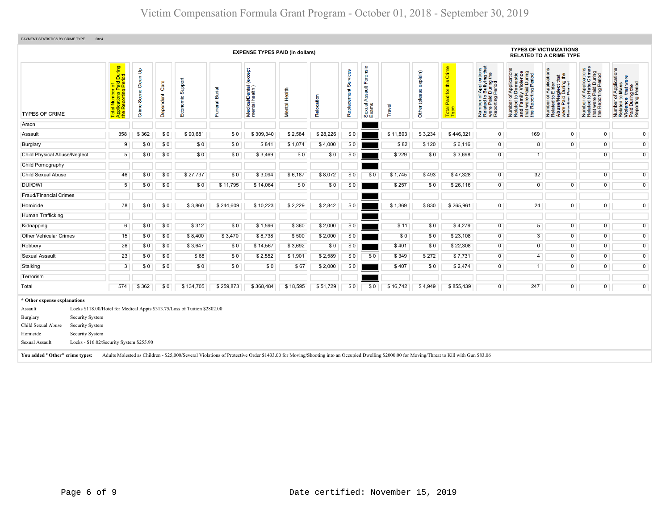| PAYMENT STATISTICS BY CRIME TYPE<br>Qtr:4                                                                                                                                                                                                      |                                                                                         |                      |                   |                                                                                                                                                                                                                                                                         |                   |                                               |               |            |                         |                                        |          |                           |                                           |                                                                                                                          |                                                                                                                                      |                                                                                                                                   |                                                                                                   |                                                                                                                 |
|------------------------------------------------------------------------------------------------------------------------------------------------------------------------------------------------------------------------------------------------|-----------------------------------------------------------------------------------------|----------------------|-------------------|-------------------------------------------------------------------------------------------------------------------------------------------------------------------------------------------------------------------------------------------------------------------------|-------------------|-----------------------------------------------|---------------|------------|-------------------------|----------------------------------------|----------|---------------------------|-------------------------------------------|--------------------------------------------------------------------------------------------------------------------------|--------------------------------------------------------------------------------------------------------------------------------------|-----------------------------------------------------------------------------------------------------------------------------------|---------------------------------------------------------------------------------------------------|-----------------------------------------------------------------------------------------------------------------|
|                                                                                                                                                                                                                                                |                                                                                         |                      |                   |                                                                                                                                                                                                                                                                         |                   | <b>EXPENSE TYPES PAID (in dollars)</b>        |               |            |                         |                                        |          |                           |                                           |                                                                                                                          |                                                                                                                                      | <b>TYPES OF VICTIMIZATIONS</b><br><b>RELATED TO A CRIME TYPE</b>                                                                  |                                                                                                   |                                                                                                                 |
| <b>TYPES OF CRIME</b>                                                                                                                                                                                                                          | During<br>iod<br>ial Number of<br>plications Paid L<br>· Reporting Peric<br><b>Page</b> | Crime Scene Clean Up | Care<br>Dependent | Economic Support                                                                                                                                                                                                                                                        | Burial<br>Funeral | except)<br>Medical/Dental (<br>mental health) | Mental Health | Relocation | Services<br>Replacement | Forensic<br>Assault<br>Sexual<br>Exams | Travel   | explain)<br>Other (please | this Crime<br>Paid for t<br>Total<br>Type | of Applications<br>o Bullying that<br>1 During the<br>I Period<br>Number of,<br>Related to I<br>were Paid<br>Reporting F | tions<br>Number of Applications<br>Related to Domestic<br>and Family Violence<br>that were Paid During<br>the Reporting Period<br>59 | r Applications<br>Elder<br><b>aglect that</b><br>I During the<br>Period<br>Number<br>Related t<br>Abuse/N<br>Were Pai<br>Recortin | Number of Applications<br>Related to Hate Crimes<br>that were Paid During<br>the Reporting Period | lications<br>Appli<br>Mass<br>Number of Ap<br>Related to Ma<br>Violence that<br>Paid During the<br>Reporting Pe |
| Arson                                                                                                                                                                                                                                          |                                                                                         |                      |                   |                                                                                                                                                                                                                                                                         |                   |                                               |               |            |                         |                                        |          |                           |                                           |                                                                                                                          |                                                                                                                                      |                                                                                                                                   |                                                                                                   |                                                                                                                 |
| Assault                                                                                                                                                                                                                                        | 358                                                                                     | \$362                | \$0               | \$90,681                                                                                                                                                                                                                                                                | \$0               | \$309,340                                     | \$2,584       | \$28,226   | \$0                     |                                        | \$11,893 | \$3,234                   | \$446,321                                 | $\overline{0}$                                                                                                           | 169                                                                                                                                  | $\overline{0}$                                                                                                                    | $\overline{0}$                                                                                    | $\overline{0}$                                                                                                  |
| Burglary                                                                                                                                                                                                                                       | 9                                                                                       | \$0                  | \$0               | \$0                                                                                                                                                                                                                                                                     | \$0               | \$841                                         | \$1,074       | \$4,000    | \$0                     |                                        | \$82     | \$120                     | \$6,116                                   | $\overline{0}$                                                                                                           | 8                                                                                                                                    | $\overline{0}$                                                                                                                    | $\overline{0}$                                                                                    | $\overline{0}$                                                                                                  |
| <b>Child Physical Abuse/Neglect</b>                                                                                                                                                                                                            | $\sqrt{5}$                                                                              | \$0                  | \$0               | \$0                                                                                                                                                                                                                                                                     | \$0               | \$3,469                                       | \$0           | \$0        | \$0                     |                                        | \$229    | \$0                       | \$3,698                                   | $\overline{0}$                                                                                                           | $\overline{1}$                                                                                                                       |                                                                                                                                   | $\overline{0}$                                                                                    | $\overline{0}$                                                                                                  |
| Child Pornography                                                                                                                                                                                                                              |                                                                                         |                      |                   |                                                                                                                                                                                                                                                                         |                   |                                               |               |            |                         |                                        |          |                           |                                           |                                                                                                                          |                                                                                                                                      |                                                                                                                                   |                                                                                                   |                                                                                                                 |
| <b>Child Sexual Abuse</b>                                                                                                                                                                                                                      | 46                                                                                      | \$0                  | \$0               | \$27,737                                                                                                                                                                                                                                                                | \$0               | \$3,094                                       | \$6,187       | \$8,072    | \$0                     | \$0                                    | \$1,745  | \$493                     | \$47,328                                  | $\overline{0}$                                                                                                           | 32                                                                                                                                   |                                                                                                                                   | $\overline{0}$                                                                                    | $\overline{0}$                                                                                                  |
| <b>DUI/DWI</b>                                                                                                                                                                                                                                 | 5                                                                                       | \$0                  | \$0               | \$0                                                                                                                                                                                                                                                                     | \$11,795          | \$14,064                                      | \$0           | \$0        | \$0                     |                                        | \$257    | \$0                       | \$26,116                                  | $\overline{0}$                                                                                                           | $\mathbf 0$                                                                                                                          | $\overline{0}$                                                                                                                    | $\overline{0}$                                                                                    | $\overline{0}$                                                                                                  |
| <b>Fraud/Financial Crimes</b>                                                                                                                                                                                                                  |                                                                                         |                      |                   |                                                                                                                                                                                                                                                                         |                   |                                               |               |            |                         |                                        |          |                           |                                           |                                                                                                                          |                                                                                                                                      |                                                                                                                                   |                                                                                                   |                                                                                                                 |
| Homicide                                                                                                                                                                                                                                       | 78                                                                                      | \$0                  | \$0               | \$3,860                                                                                                                                                                                                                                                                 | \$244,609         | \$10,223                                      | \$2,229       | \$2,842    | \$0                     |                                        | \$1,369  | \$830                     | \$265,961                                 | $\overline{0}$                                                                                                           | 24                                                                                                                                   | $\overline{0}$                                                                                                                    | $\overline{0}$                                                                                    | $\overline{0}$                                                                                                  |
| Human Trafficking                                                                                                                                                                                                                              |                                                                                         |                      |                   |                                                                                                                                                                                                                                                                         |                   |                                               |               |            |                         |                                        |          |                           |                                           |                                                                                                                          |                                                                                                                                      |                                                                                                                                   |                                                                                                   |                                                                                                                 |
| Kidnapping                                                                                                                                                                                                                                     | 6                                                                                       | \$0                  | \$0               | \$312                                                                                                                                                                                                                                                                   | \$0               | \$1,596                                       | \$360         | \$2,000    | \$0                     |                                        | \$11     | \$0                       | \$4,279                                   | $\overline{0}$                                                                                                           | $\overline{5}$                                                                                                                       | $\overline{0}$                                                                                                                    | $\overline{0}$                                                                                    | $\overline{0}$                                                                                                  |
| <b>Other Vehicular Crimes</b>                                                                                                                                                                                                                  | 15 <sub>15</sub>                                                                        | \$0                  | \$0               | \$8,400                                                                                                                                                                                                                                                                 | \$3,470           | \$8,738                                       | \$500         | \$2,000    | \$0                     |                                        | \$0      | \$0                       | \$23,108                                  | $\overline{0}$                                                                                                           | $\overline{3}$                                                                                                                       | $\overline{0}$                                                                                                                    | $\overline{0}$                                                                                    | $\overline{0}$                                                                                                  |
| Robbery                                                                                                                                                                                                                                        | 26                                                                                      | \$0                  | \$0               | \$3,647                                                                                                                                                                                                                                                                 | \$0               | \$14,567                                      | \$3,692       | \$0        | \$0                     |                                        | \$401    | \$0                       | \$22,308                                  | $\overline{0}$                                                                                                           | $\overline{0}$                                                                                                                       | $\overline{0}$                                                                                                                    | $\overline{0}$                                                                                    | $\overline{0}$                                                                                                  |
| Sexual Assault                                                                                                                                                                                                                                 | 23                                                                                      | \$0                  | \$0               | \$68                                                                                                                                                                                                                                                                    | \$0               | \$2,552                                       | \$1,901       | \$2,589    | \$0                     | \$0                                    | \$349    | \$272                     | \$7,731                                   | $\overline{0}$                                                                                                           | $\overline{4}$                                                                                                                       | $\overline{0}$                                                                                                                    | $\overline{0}$                                                                                    | $\overline{0}$                                                                                                  |
| Stalking                                                                                                                                                                                                                                       | $\overline{3}$                                                                          | \$0                  | \$0               | \$0                                                                                                                                                                                                                                                                     | \$0               | \$0                                           | \$67          | \$2,000    | \$0                     |                                        | \$407    | \$0                       | \$2,474                                   | $\overline{0}$                                                                                                           | $\overline{1}$                                                                                                                       | $\overline{0}$                                                                                                                    | $\overline{0}$                                                                                    | $\overline{0}$                                                                                                  |
| Terrorism                                                                                                                                                                                                                                      |                                                                                         |                      |                   |                                                                                                                                                                                                                                                                         |                   |                                               |               |            |                         |                                        |          |                           |                                           |                                                                                                                          |                                                                                                                                      |                                                                                                                                   |                                                                                                   |                                                                                                                 |
| Total                                                                                                                                                                                                                                          | 574                                                                                     | \$362                | \$0               | \$134,705                                                                                                                                                                                                                                                               | \$259,873         | \$368,484                                     | \$18,595      | \$51,729   | \$0                     | \$0                                    | \$16,742 | \$4,949                   | \$855,439                                 | $\overline{0}$                                                                                                           | 247                                                                                                                                  | $\overline{0}$                                                                                                                    | $\overline{0}$                                                                                    | $\mathbf 0$                                                                                                     |
| * Other expense explanations<br>Assault<br>Security System<br>Burglary<br>Child Sexual Abuse<br>Security System<br>Homicide<br>Security System<br>Locks - \$16.02/Security System \$255.90<br>Sexual Assault<br>You added "Other" crime types: |                                                                                         |                      |                   | Locks \$118.00/Hotel for Medical Appts \$313.75/Loss of Tuition \$2802.00<br>Adults Molested as Children - \$25,000/Several Violations of Protective Order \$1433.00 for Moving/Shooting into an Occupied Dwelling \$2000.00 for Moving/Threat to Kill with Gun \$83.06 |                   |                                               |               |            |                         |                                        |          |                           |                                           |                                                                                                                          |                                                                                                                                      |                                                                                                                                   |                                                                                                   |                                                                                                                 |
|                                                                                                                                                                                                                                                |                                                                                         |                      |                   |                                                                                                                                                                                                                                                                         |                   |                                               |               |            |                         |                                        |          |                           |                                           |                                                                                                                          |                                                                                                                                      |                                                                                                                                   |                                                                                                   |                                                                                                                 |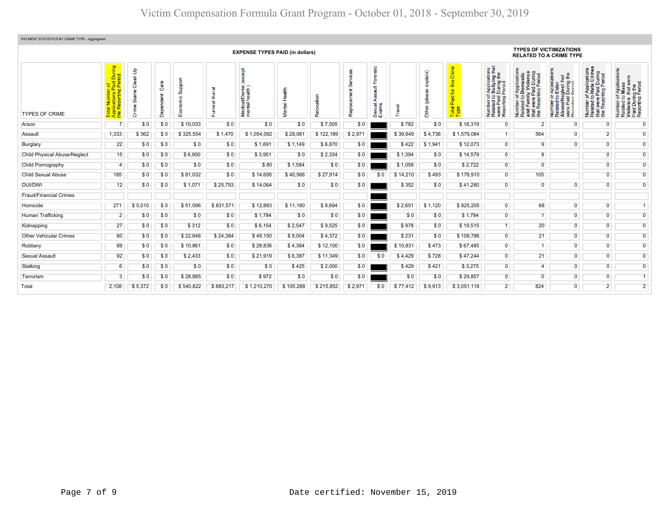| PAYMENT STATISTICS BY CRIME TYPE - Aggregated |                                                             |                                                                                |                         |                     |                         |                                                         |                   |                |              |                                          |          |                           |                                                                   |                                                                                                                                 |                                                                                                                       |                                                                                                                                                  |                                                                                                                                         |                                                                                                                                                     |
|-----------------------------------------------|-------------------------------------------------------------|--------------------------------------------------------------------------------|-------------------------|---------------------|-------------------------|---------------------------------------------------------|-------------------|----------------|--------------|------------------------------------------|----------|---------------------------|-------------------------------------------------------------------|---------------------------------------------------------------------------------------------------------------------------------|-----------------------------------------------------------------------------------------------------------------------|--------------------------------------------------------------------------------------------------------------------------------------------------|-----------------------------------------------------------------------------------------------------------------------------------------|-----------------------------------------------------------------------------------------------------------------------------------------------------|
|                                               | <b>EXPENSE TYPES PAID (in dollars)</b>                      |                                                                                |                         |                     |                         |                                                         |                   |                |              |                                          |          |                           | <b>TYPES OF VICTIMIZATIONS</b><br><b>RELATED TO A CRIME TYPE</b>  |                                                                                                                                 |                                                                                                                       |                                                                                                                                                  |                                                                                                                                         |                                                                                                                                                     |
| <b>TYPES OF CRIME</b>                         | During<br>iod<br>$\overline{\sigma}$<br>ő.<br>$\frac{1}{2}$ | $\mathbf{e}$<br>န္ဖ<br>8Ö<br>e)<br><b>S</b><br>$\mathbf \Phi$<br>$\frac{5}{5}$ | శ్రీ<br>한다<br>미<br>Depe | Support<br>Economic | <b>Burial</b><br>uneral | <b>Ta</b><br>i/Dental<br>health)<br>Medical<br>mental l | Health<br>Viental | b<br>Ĕ<br>Relo | ů<br>Replace | rensic<br>훈<br>芎<br>⋖<br>Sexual<br>Exams | Travel   | xplain)<br>(plea<br>Other | Crime<br>this<br>$\overline{\mathbf{p}}$<br>Paid<br>Total<br>Type | f Applications<br>b Bullying that<br>I During the<br>Period<br>Number of <i>I</i><br>Related to E<br>were Paid L<br>Reporting P | Number of Applications<br>Related to Domestic<br>and Family Violence<br>that were Paid During<br>the Reporting Period | T Application<br>b Elder<br>sglect that<br>During the<br>Pariod<br>Number of <i>I</i><br>Related to E<br>Abuse/Neg<br>were Paid D<br>Reporting P | f Applications<br>• Hate Crimes<br>Paid During<br>that were Paid During<br>the Reporting Period<br>$\frac{1}{2}$<br>Number<br>Related t | cation<br>f Applica<br>Mass<br>that wer<br>Deriod<br>Period<br>$\frac{1}{6}$<br>Number of<br>Related to<br>Violence t<br>Paid During<br>Reporting F |
| Arson                                         |                                                             | \$0                                                                            | \$0                     | \$10,033            | \$0                     | \$0                                                     | \$0               | \$7,505        | \$0          |                                          | \$782    | \$0                       | \$18,319                                                          | $\overline{0}$                                                                                                                  | $\overline{2}$                                                                                                        | $\Omega$                                                                                                                                         | $\overline{0}$                                                                                                                          | $\Omega$                                                                                                                                            |
| Assault                                       | 1,333                                                       | \$362                                                                          | \$0                     | \$325,554           | \$1,470                 | \$1,054,092                                             | \$28,061          | \$122,189      | \$2,971      |                                          | \$39,649 | \$4,736                   | \$1,579,084                                                       | 1                                                                                                                               | 564                                                                                                                   | $\overline{0}$                                                                                                                                   | 2 <sub>1</sub>                                                                                                                          | $\overline{0}$                                                                                                                                      |
| Burglary                                      | 22                                                          | \$0                                                                            | \$0                     | \$0                 | \$0                     | \$1,691                                                 | \$1,149           | \$6,870        | \$0          |                                          | \$422    | \$1,941                   | \$12,073                                                          | $\overline{0}$                                                                                                                  | 9                                                                                                                     | $\overline{0}$                                                                                                                                   | $\overline{0}$                                                                                                                          | $\overline{0}$                                                                                                                                      |
| <b>Child Physical Abuse/Neglect</b>           | 15                                                          | \$0                                                                            | \$0                     | \$6,900             | \$0                     | \$3,951                                                 | \$0               | \$2,334        | \$0          |                                          | \$1,394  | \$0                       | \$14,579                                                          | $\overline{0}$                                                                                                                  | 8                                                                                                                     |                                                                                                                                                  | $\overline{0}$                                                                                                                          | $\overline{0}$                                                                                                                                      |
| Child Pornography                             | $\overline{4}$                                              | \$0                                                                            | \$0                     | \$0                 | \$0                     | \$80                                                    | \$1,584           | \$0            | \$0          |                                          | \$1,058  | \$0                       | \$2,722                                                           | $\overline{0}$                                                                                                                  | $\overline{0}$                                                                                                        |                                                                                                                                                  | $\overline{0}$                                                                                                                          | $\overline{0}$                                                                                                                                      |
| <b>Child Sexual Abuse</b>                     | 185                                                         | \$0                                                                            | \$0                     | \$81,032            | \$0                     | \$14,695                                                | \$40,566          | \$27,914       | \$0          | \$0                                      | \$14,210 | \$493                     | \$178,910                                                         | $\overline{0}$                                                                                                                  | 105                                                                                                                   |                                                                                                                                                  | $\overline{0}$                                                                                                                          | $\overline{0}$                                                                                                                                      |
| DUI/DWI                                       | 12                                                          | \$0                                                                            | \$0                     | \$1,071             | \$25,793                | \$14,064                                                | \$0               | \$0            | \$0          |                                          | \$352    | \$0                       | \$41,280                                                          | $\overline{0}$                                                                                                                  | $\mathbf 0$                                                                                                           | $\overline{0}$                                                                                                                                   | $\overline{0}$                                                                                                                          | $\overline{0}$                                                                                                                                      |
| <b>Fraud/Financial Crimes</b>                 |                                                             |                                                                                |                         |                     |                         |                                                         |                   |                |              |                                          |          |                           |                                                                   |                                                                                                                                 |                                                                                                                       |                                                                                                                                                  |                                                                                                                                         |                                                                                                                                                     |
| Homicide                                      | 271                                                         | \$5,010                                                                        | \$0                     | \$51.096            | \$831,571               | \$12,883                                                | \$11.180          | \$9,694        | \$0          |                                          | \$2,651  | \$1,120                   | \$925.205                                                         | $\overline{0}$                                                                                                                  | 68                                                                                                                    | $\overline{0}$                                                                                                                                   | $\overline{0}$                                                                                                                          | $\overline{1}$                                                                                                                                      |
| Human Trafficking                             | $\overline{2}$                                              | \$0                                                                            | \$0                     | \$0                 | \$0                     | \$1,784                                                 | \$0               | \$0            | \$0          |                                          | \$0      | \$0                       | \$1,784                                                           | $\overline{0}$                                                                                                                  |                                                                                                                       | $\overline{0}$                                                                                                                                   | $\overline{0}$                                                                                                                          | $\overline{0}$                                                                                                                                      |
| Kidnapping                                    | 27                                                          | \$0                                                                            | \$0                     | \$312               | \$0                     | \$6,154                                                 | \$2,547           | \$9,525        | \$0          |                                          | \$978    | \$0                       | \$19,515                                                          | -1                                                                                                                              | 20                                                                                                                    | $\overline{0}$                                                                                                                                   | $\overline{0}$                                                                                                                          | $\overline{0}$                                                                                                                                      |
| <b>Other Vehicular Crimes</b>                 | 60                                                          | \$0                                                                            | \$0                     | \$22,646            | \$24,384                | \$49,150                                                | \$9,004           | \$4,372        | \$0          |                                          | \$231    | \$0                       | \$109,786                                                         | $\overline{0}$                                                                                                                  | 21                                                                                                                    | $\overline{0}$                                                                                                                                   | $\overline{0}$                                                                                                                          | $\overline{0}$                                                                                                                                      |
| Robbery                                       | 69                                                          | \$0                                                                            | \$0                     | \$10,861            | \$0                     | \$28,836                                                | \$4,384           | \$12,100       | \$0          |                                          | \$10,831 | \$473                     | \$67,485                                                          | $\overline{0}$                                                                                                                  | 1                                                                                                                     | $\overline{0}$                                                                                                                                   | $\overline{0}$                                                                                                                          | $\overline{0}$                                                                                                                                      |
| Sexual Assault                                | 92                                                          | \$0                                                                            | \$0                     | \$2,433             | \$0                     | \$21,919                                                | \$6,387           | \$11,349       | \$0          | \$0                                      | \$4,429  | \$728                     | \$47,244                                                          | $\overline{0}$                                                                                                                  | 21                                                                                                                    | $\overline{0}$                                                                                                                                   | $\overline{0}$                                                                                                                          | $\overline{0}$                                                                                                                                      |
| Stalking                                      | 6                                                           | \$0                                                                            | \$0                     | \$0                 | \$0                     | \$0                                                     | \$425             | \$2,000        | \$0          |                                          | \$429    | \$421                     | \$3,275                                                           | $\overline{0}$                                                                                                                  | 4 <sup>1</sup>                                                                                                        | $\overline{0}$                                                                                                                                   | $\overline{0}$                                                                                                                          | $\overline{0}$                                                                                                                                      |
| Terrorism                                     | 3                                                           | \$0                                                                            | \$0                     | \$28,885            | \$0                     | \$972                                                   | \$0               | \$0            | \$0          |                                          | \$0      | \$0                       | \$29,857                                                          | 0                                                                                                                               | $\overline{0}$                                                                                                        | $\overline{0}$                                                                                                                                   | $\overline{0}$                                                                                                                          |                                                                                                                                                     |
| Total                                         | 2.108                                                       | \$5,372                                                                        | \$0                     | \$540,822           | \$883,217               | \$1,210,270                                             | \$105.288         | \$215.852      | \$2.971      | \$0                                      | \$77,412 | \$9.913                   | \$3.051.118                                                       | $\overline{2}$                                                                                                                  | 824                                                                                                                   | $\overline{0}$                                                                                                                                   | $\overline{2}$                                                                                                                          | $\overline{2}$                                                                                                                                      |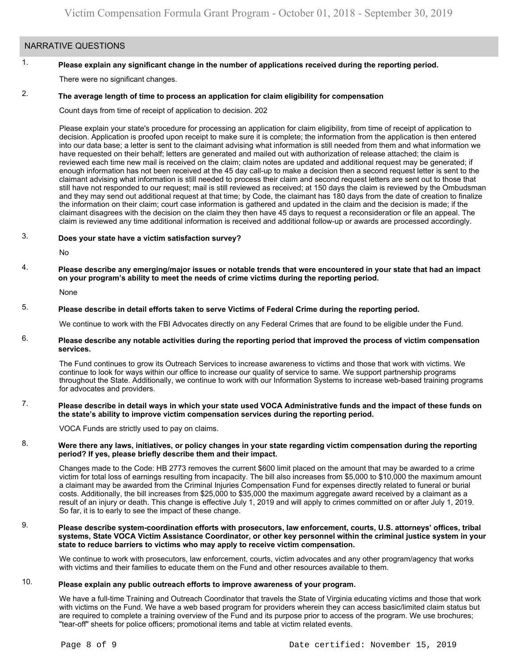# NARRATIVE QUESTIONS

#### 1. **Please explain any significant change in the number of applications received during the reporting period.**

There were no significant changes.

#### 2. **The average length of time to process an application for claim eligibility for compensation**

Count days from time of receipt of application to decision. 202

Please explain your state's procedure for processing an application for claim eligibility, from time of receipt of application to decision. Application is proofed upon receipt to make sure it is complete; the information from the application is then entered into our data base; a letter is sent to the claimant advising what information is still needed from them and what information we have requested on their behalf; letters are generated and mailed out with authorization of release attached; the claim is reviewed each time new mail is received on the claim; claim notes are updated and additional request may be generated; if enough information has not been received at the 45 day call-up to make a decision then a second request letter is sent to the claimant advising what information is still needed to process their claim and second request letters are sent out to those that still have not responded to our request; mail is still reviewed as received; at 150 days the claim is reviewed by the Ombudsman and they may send out additional request at that time; by Code, the claimant has 180 days from the date of creation to finalize the information on their claim; court case information is gathered and updated in the claim and the decision is made; if the claimant disagrees with the decision on the claim they then have 45 days to request a reconsideration or file an appeal. The claim is reviewed any time additional information is received and additional follow-up or awards are processed accordingly.

#### 3. **Does your state have a victim satisfaction survey?**

No

## 4. **Please describe any emerging/major issues or notable trends that were encountered in your state that had an impact on your program's ability to meet the needs of crime victims during the reporting period.**

None

### 5. **Please describe in detail efforts taken to serve Victims of Federal Crime during the reporting period.**

We continue to work with the FBI Advocates directly on any Federal Crimes that are found to be eligible under the Fund.

## 6. **Please describe any notable activities during the reporting period that improved the process of victim compensation services.**

The Fund continues to grow its Outreach Services to increase awareness to victims and those that work with victims. We continue to look for ways within our office to increase our quality of service to same. We support partnership programs throughout the State. Additionally, we continue to work with our Information Systems to increase web-based training programs for advocates and providers.

## 7. **Please describe in detail ways in which your state used VOCA Administrative funds and the impact of these funds on the state's ability to improve victim compensation services during the reporting period.**

VOCA Funds are strictly used to pay on claims.

## 8. **Were there any laws, initiatives, or policy changes in your state regarding victim compensation during the reporting period? If yes, please briefly describe them and their impact.**

Changes made to the Code: HB 2773 removes the current \$600 limit placed on the amount that may be awarded to a crime victim for total loss of earnings resulting from incapacity. The bill also increases from \$5,000 to \$10,000 the maximum amount a claimant may be awarded from the Criminal Injuries Compensation Fund for expenses directly related to funeral or burial costs. Additionally, the bill increases from \$25,000 to \$35,000 the maximum aggregate award received by a claimant as a result of an injury or death. This change is effective July 1, 2019 and will apply to crimes committed on or after July 1, 2019. So far, it is to early to see the impact of these change.

## 9. **Please describe system-coordination efforts with prosecutors, law enforcement, courts, U.S. attorneys' offices, tribal systems, State VOCA Victim Assistance Coordinator, or other key personnel within the criminal justice system in your state to reduce barriers to victims who may apply to receive victim compensation.**

We continue to work with prosecutors, law enforcement, courts, victim advocates and any other program/agency that works with victims and their families to educate them on the Fund and other resources available to them.

### 10. **Please explain any public outreach efforts to improve awareness of your program.**

We have a full-time Training and Outreach Coordinator that travels the State of Virginia educating victims and those that work with victims on the Fund. We have a web based program for providers wherein they can access basic/limited claim status but are required to complete a training overview of the Fund and its purpose prior to access of the program. We use brochures; "tear-off" sheets for police officers; promotional items and table at victim related events.